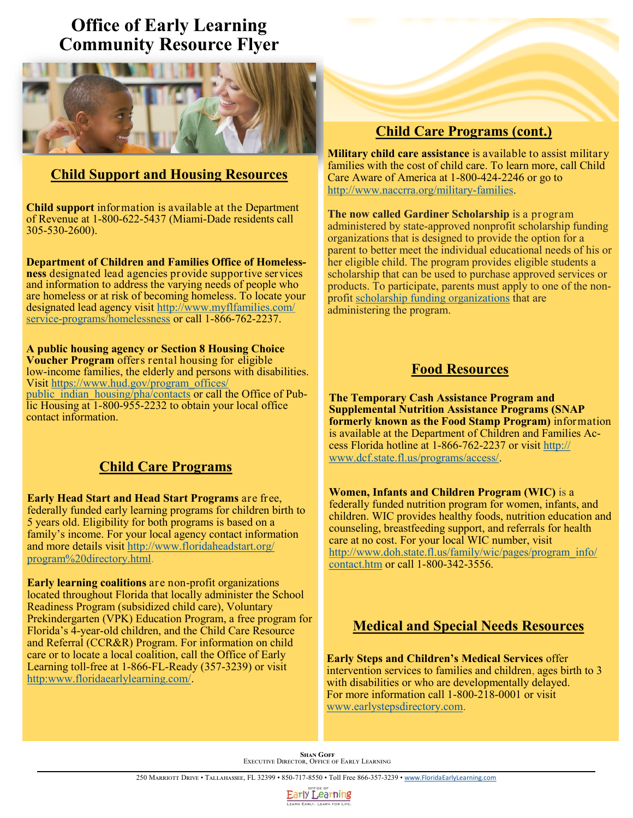# **Office of Early Learning Community Resource Flyer**



### **Child Support and Housing Resources**

**Child support** information is available at the Department of Revenue at 1-800-622-5437 (Miami-Dade residents call 305-530-2600).

**Department of Children and Families Office of Homelessness** designated lead agencies provide supportive services and information to address the varying needs of people who are homeless or at risk of becoming homeless. To locate your designated lead agency visit [http://www.myflfamilies.com/](http://www.myflfamilies.com/service-programs/homelessness) service-[programs/homelessness](http://www.myflfamilies.com/service-programs/homelessness) or call 1-866-762-2237.

**A public housing agency or Section 8 Housing Choice Voucher Program** offers rental housing for eligible low-income families, the elderly and persons with disabilities. Visit [https://www.hud.gov/program\\_offices/](https://www.hud.gov/program_offices/public_indian_housing/pha/contacts) [public\\_indian\\_housing/pha/contacts](https://www.hud.gov/program_offices/public_indian_housing/pha/contacts) or call the Office of Public Housing at 1-800-955-2232 to obtain your local office contact information.

### **Child Care Programs**

**Early Head Start and Head Start Programs** are free, federally funded early learning programs for children birth to 5 years old. Eligibility for both programs is based on a family's income. For your local agency contact information and more details visit [http://www.floridaheadstart.org/](http://www.floridaheadstart.org/program%20directory.html) [program%20directory.html.](http://www.floridaheadstart.org/program%20directory.html)

**Early learning coalitions** are non-profit organizations located throughout Florida that locally administer the School Readiness Program (subsidized child care), Voluntary Prekindergarten (VPK) Education Program, a free program for Florida's 4-year-old children, and the Child Care Resource and Referral (CCR&R) Program. For information on child care or to locate a local coalition, call the Office of Early Learning toll-free at 1-866-FL-Ready (357-3239) or visit [http:www.floridaearlylearning.com/.](http://www.floridaearlylearning.com/) 

## **Child Care Programs (cont.)**

**Military child care assistance** is available to assist military families with the cost of child care. To learn more, call Child Care Aware of America at 1-800-424-2246 or go to [http://www.naccrra.org/military](http://www.naccrra.org/military-families)-families.

**The now called Gardiner Scholarship** is a program administered by state-approved nonprofit scholarship funding organizations that is designed to provide the option for a parent to better meet the individual educational needs of his or her eligible child. The program provides eligible students a scholarship that can be used to purchase approved services or products. To participate, parents must apply to one of the nonprofit [scholarship funding organizations](http://www.fldoe.org/schools/school-choice/k-12-scholarship-programs/sfo/) that are administering the program.

### **Food Resources**

**The Temporary Cash Assistance Program and Supplemental Nutrition Assistance Programs (SNAP formerly known as the Food Stamp Program)** information is available at the Department of Children and Families Access Florida hotline at 1-866-762-2237 or visit [http://](http://www.dcf.state.fl.us/programs/access/) [www.dcf.state.fl.us/programs/access/.](http://www.dcf.state.fl.us/programs/access/)

**Women, Infants and Children Program (WIC)** is a federally funded nutrition program for women, infants, and children. WIC provides healthy foods, nutrition education and counseling, breastfeeding support, and referrals for health care at no cost. For your local WIC number, visit [http://www.doh.state.fl.us/family/wic/pages/program\\_info/](http://www.doh.state.fl.us/family/wic/pages/program_info/contact.htm) [contact.htm](http://www.doh.state.fl.us/family/wic/pages/program_info/contact.htm) or call 1-800-342-3556.

# **Medical and Special Needs Resources**

**Early Steps and Children's Medical Services** offer intervention services to families and children, ages birth to 3 with disabilities or who are developmentally delayed. For more information call 1-800-218-0001 or visit [www.earlystepsdirectory.com.](http://www.earlystepsdirectory.com)

**SHAN GOFF<br>Executive Director, Office of Early Learning** 

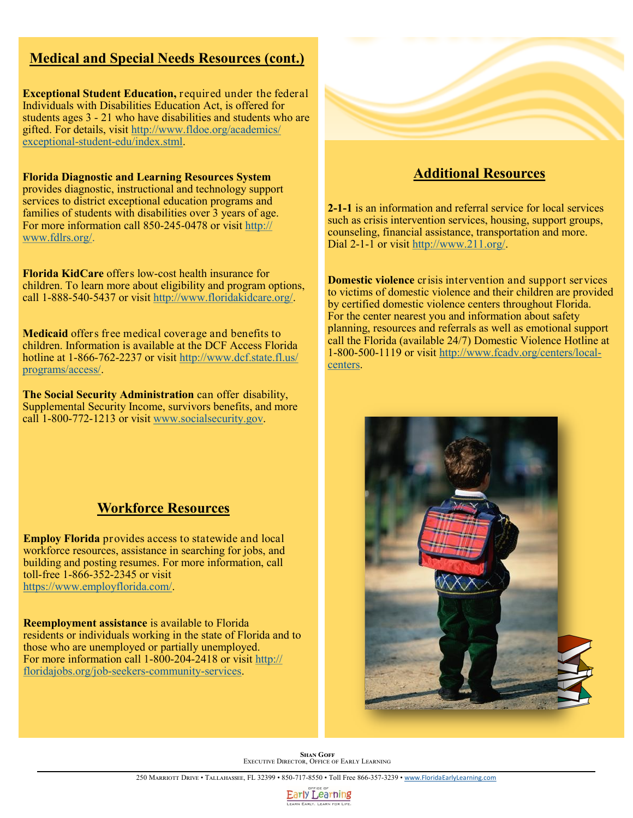### **Medical and Special Needs Resources (cont.)**

**Exceptional Student Education,** required under the federal Individuals with Disabilities Education Act, is offered for students ages 3 - 21 who have disabilities and students who are gifted. For details, visit [http://www.fldoe.org/academics/](http://www.fldoe.org/academics/exceptional-student-edu/index.stml) exceptional-student-[edu/index.stml.](http://www.fldoe.org/academics/exceptional-student-edu/index.stml) 

**Florida Diagnostic and Learning Resources System**  provides diagnostic, instructional and technology support services to district exceptional education programs and families of students with disabilities over 3 years of age. For more information call 850-245-0478 or visit [http://](http://www.fdlrs.org/) [www.fdlrs.org/.](http://www.fdlrs.org/)

**Florida KidCare** offers low-cost health insurance for children. To learn more about eligibility and program options, call 1-888-540-5437 or visit [http://www.floridakidcare.org/.](http://www.floridakidcare.org/)

**Medicaid** offers free medical coverage and benefits to children. Information is available at the DCF Access Florida hotline at 1-866-762-2237 or visit [http://www.dcf.state.fl.us/](http://www.dcf.state.fl.us/programs/access/) [programs/access/.](http://www.dcf.state.fl.us/programs/access/)

**The Social Security Administration** can offer disability, Supplemental Security Income, survivors benefits, and more call 1-800-772-1213 or visit [www.socialsecurity.gov.](http://www.socialsecurity.gov)

### **Workforce Resources**

**Employ Florida** provides access to statewide and local workforce resources, assistance in searching for jobs, and building and posting resumes. For more information, call toll-free 1-866-352-2345 or visit [https://www.employflorida.com/.](https://www.employflorida.com/)

**Reemployment assistance** is available to Florida residents or individuals working in the state of Florida and to those who are unemployed or partially unemployed. For more information call 1-800-204-2418 or visit [http://](http://floridajobs.org/job-seekers-community-services) [floridajobs.org/job](http://floridajobs.org/job-seekers-community-services)-seekers-community-services.



#### **Additional Resources**

**2-1-1** is an information and referral service for local services such as crisis intervention services, housing, support groups, counseling, financial assistance, transportation and more. Dial 2-1-1 or visit [http://www.211.org/.](http://www.211.org/)

**Domestic violence** crisis intervention and support services to victims of domestic violence and their children are provided by certified domestic violence centers throughout Florida. For the center nearest you and information about safety planning, resources and referrals as well as emotional support call the Florida (available 24/7) Domestic Violence Hotline at 1-800-500-1119 or visit [http://www.fcadv.org/centers/local](http://www.fcadv.org/centers/local-centers)[centers.](http://www.fcadv.org/centers/local-centers)



**SHAN GOFF<br>Executive Director, Office of Early Learning**